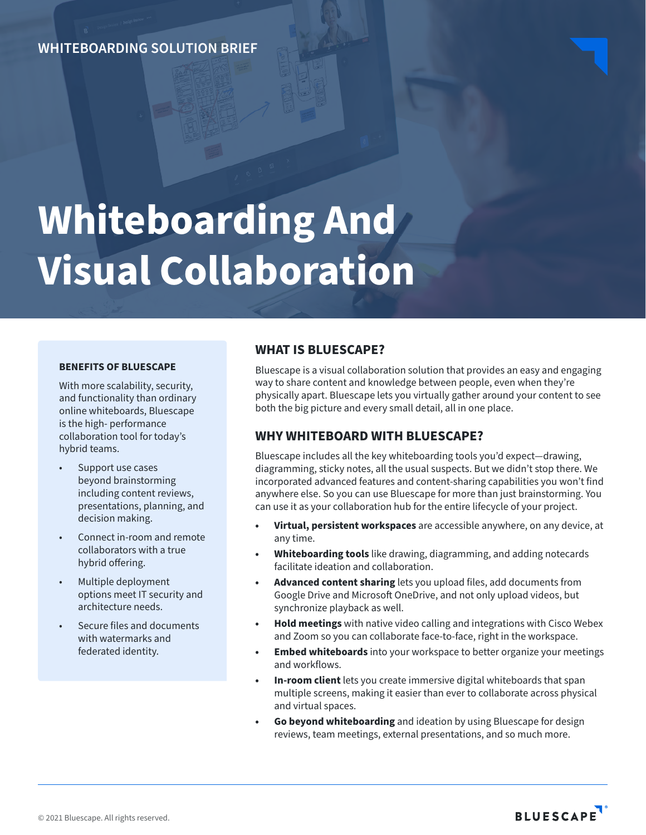**WHITEBOARDING SOLUTION BRIEF**

# **Whiteboarding And Visual Collaboration**

#### **BENEFITS OF BLUESCAPE**

With more scalability, security, and functionality than ordinary online whiteboards, Bluescape is the high- performance collaboration tool for today's hybrid teams.

- Support use cases beyond brainstorming including content reviews, presentations, planning, and decision making.
- Connect in-room and remote collaborators with a true hybrid offering.
- Multiple deployment options meet IT security and architecture needs.
- Secure files and documents with watermarks and federated identity.

### **WHAT IS BLUESCAPE?**

Bluescape is a visual collaboration solution that provides an easy and engaging way to share content and knowledge between people, even when they're physically apart. Bluescape lets you virtually gather around your content to see both the big picture and every small detail, all in one place.

### **WHY WHITEBOARD WITH BLUESCAPE?**

Bluescape includes all the key whiteboarding tools you'd expect—drawing, diagramming, sticky notes, all the usual suspects. But we didn't stop there. We incorporated advanced features and content-sharing capabilities you won't find anywhere else. So you can use Bluescape for more than just brainstorming. You can use it as your collaboration hub for the entire lifecycle of your project.

- **• Virtual, persistent workspaces** are accessible anywhere, on any device, at any time.
- **• Whiteboarding tools** like drawing, diagramming, and adding notecards facilitate ideation and collaboration.
- **• Advanced content sharing** lets you upload files, add documents from Google Drive and Microsoft OneDrive, and not only upload videos, but synchronize playback as well.
- **• Hold meetings** with native video calling and integrations with Cisco Webex and Zoom so you can collaborate face-to-face, right in the workspace.
- **• Embed whiteboards** into your workspace to better organize your meetings and workflows.
- **• In-room client** lets you create immersive digital whiteboards that span multiple screens, making it easier than ever to collaborate across physical and virtual spaces.
- **• Go beyond whiteboarding** and ideation by using Bluescape for design reviews, team meetings, external presentations, and so much more.